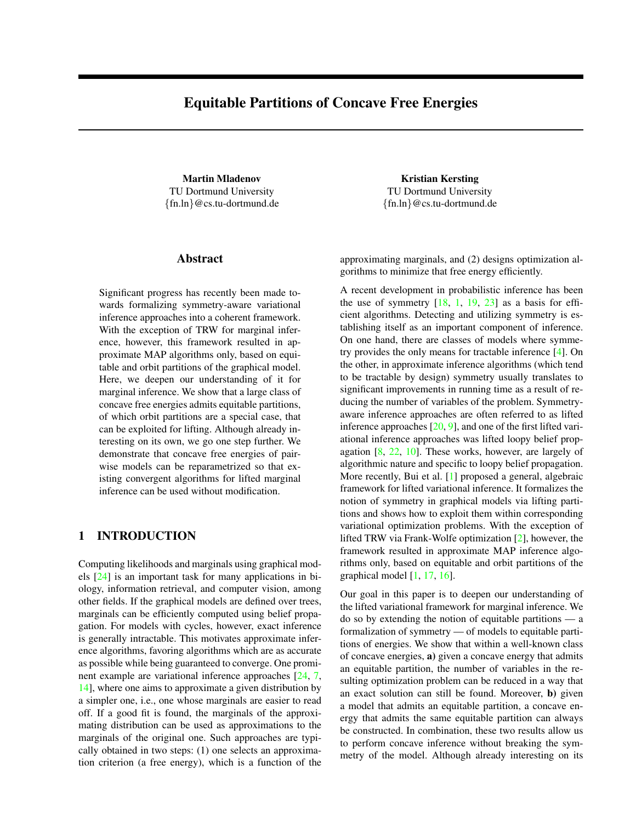# Equitable Partitions of Concave Free Energies

Martin Mladenov TU Dortmund University {fn.ln}@cs.tu-dortmund.de

#### Abstract

Significant progress has recently been made towards formalizing symmetry-aware variational inference approaches into a coherent framework. With the exception of TRW for marginal inference, however, this framework resulted in approximate MAP algorithms only, based on equitable and orbit partitions of the graphical model. Here, we deepen our understanding of it for marginal inference. We show that a large class of concave free energies admits equitable partitions, of which orbit partitions are a special case, that can be exploited for lifting. Although already interesting on its own, we go one step further. We demonstrate that concave free energies of pairwise models can be reparametrized so that existing convergent algorithms for lifted marginal inference can be used without modification.

#### 1 INTRODUCTION

Computing likelihoods and marginals using graphical models [\[24\]](#page-9-0) is an important task for many applications in biology, information retrieval, and computer vision, among other fields. If the graphical models are defined over trees, marginals can be efficiently computed using belief propagation. For models with cycles, however, exact inference is generally intractable. This motivates approximate inference algorithms, favoring algorithms which are as accurate as possible while being guaranteed to converge. One prominent example are variational inference approaches [\[24,](#page-9-0) [7,](#page-9-1) [14\]](#page-9-2), where one aims to approximate a given distribution by a simpler one, i.e., one whose marginals are easier to read off. If a good fit is found, the marginals of the approximating distribution can be used as approximations to the marginals of the original one. Such approaches are typically obtained in two steps: (1) one selects an approximation criterion (a free energy), which is a function of the

Kristian Kersting TU Dortmund University {fn.ln}@cs.tu-dortmund.de

approximating marginals, and (2) designs optimization algorithms to minimize that free energy efficiently.

A recent development in probabilistic inference has been the use of symmetry  $[18, 1, 19, 23]$  $[18, 1, 19, 23]$  $[18, 1, 19, 23]$  $[18, 1, 19, 23]$  $[18, 1, 19, 23]$  $[18, 1, 19, 23]$  $[18, 1, 19, 23]$  as a basis for efficient algorithms. Detecting and utilizing symmetry is establishing itself as an important component of inference. On one hand, there are classes of models where symmetry provides the only means for tractable inference [\[4\]](#page-9-7). On the other, in approximate inference algorithms (which tend to be tractable by design) symmetry usually translates to significant improvements in running time as a result of reducing the number of variables of the problem. Symmetryaware inference approaches are often referred to as lifted inference approaches  $[20, 9]$  $[20, 9]$  $[20, 9]$ , and one of the first lifted variational inference approaches was lifted loopy belief propagation [\[8,](#page-9-10) [22,](#page-9-11) [10\]](#page-9-12). These works, however, are largely of algorithmic nature and specific to loopy belief propagation. More recently, Bui et al. [\[1\]](#page-9-4) proposed a general, algebraic framework for lifted variational inference. It formalizes the notion of symmetry in graphical models via lifting partitions and shows how to exploit them within corresponding variational optimization problems. With the exception of lifted TRW via Frank-Wolfe optimization [\[2\]](#page-9-13), however, the framework resulted in approximate MAP inference algorithms only, based on equitable and orbit partitions of the graphical model [\[1,](#page-9-4) [17,](#page-9-14) [16\]](#page-9-15).

Our goal in this paper is to deepen our understanding of the lifted variational framework for marginal inference. We do so by extending the notion of equitable partitions — a formalization of symmetry — of models to equitable partitions of energies. We show that within a well-known class of concave energies, a) given a concave energy that admits an equitable partition, the number of variables in the resulting optimization problem can be reduced in a way that an exact solution can still be found. Moreover, b) given a model that admits an equitable partition, a concave energy that admits the same equitable partition can always be constructed. In combination, these two results allow us to perform concave inference without breaking the symmetry of the model. Although already interesting on its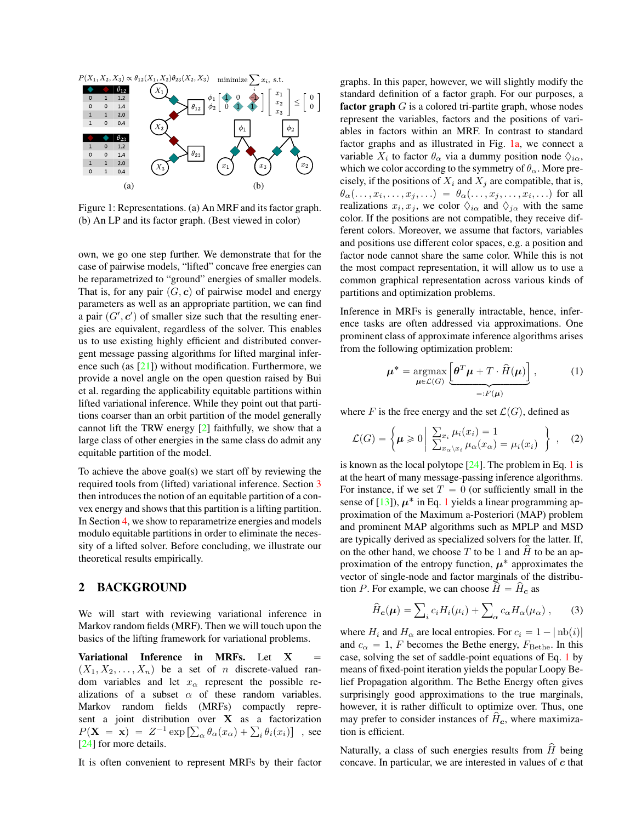<span id="page-1-0"></span>

Figure 1: Representations. (a) An MRF and its factor graph. (b) An LP and its factor graph. (Best viewed in color)

own, we go one step further. We demonstrate that for the case of pairwise models, "lifted" concave free energies can be reparametrized to "ground" energies of smaller models. That is, for any pair  $(G, c)$  of pairwise model and energy parameters as well as an appropriate partition, we can find a pair  $(G', c')$  of smaller size such that the resulting energies are equivalent, regardless of the solver. This enables us to use existing highly efficient and distributed convergent message passing algorithms for lifted marginal inference such (as  $[21]$ ) without modification. Furthermore, we provide a novel angle on the open question raised by Bui et al. regarding the applicability equitable partitions within lifted variational inference. While they point out that partitions coarser than an orbit partition of the model generally cannot lift the TRW energy [\[2\]](#page-9-13) faithfully, we show that a large class of other energies in the same class do admit any equitable partition of the model.

To achieve the above goal(s) we start off by reviewing the required tools from (lifted) variational inference. Section [3](#page-3-0) then introduces the notion of an equitable partition of a convex energy and shows that this partition is a lifting partition. In Section [4,](#page-5-0) we show to reparametrize energies and models modulo equitable partitions in order to eliminate the necessity of a lifted solver. Before concluding, we illustrate our theoretical results empirically.

## 2 BACKGROUND

We will start with reviewing variational inference in Markov random fields (MRF). Then we will touch upon the basics of the lifting framework for variational problems.

Variational Inference in MRFs. Let X  $(X_1, X_2, \ldots, X_n)$  be a set of n discrete-valued random variables and let  $x_{\alpha}$  represent the possible realizations of a subset  $\alpha$  of these random variables. Markov random fields (MRFs) compactly represent a joint distribution over  $X$  as a factorization sent a joint distribution over **X** as a factorization  $P(\mathbf{X} = \mathbf{x}) = Z^{-1} \exp \left[\sum_{\alpha} \theta_{\alpha}(x_{\alpha}) + \sum_{i} \theta_{i}(x_{i})\right]$ , see [\[24\]](#page-9-0) for more details.

It is often convenient to represent MRFs by their factor

graphs. In this paper, however, we will slightly modify the standard definition of a factor graph. For our purposes, a **factor graph**  $G$  is a colored tri-partite graph, whose nodes represent the variables, factors and the positions of variables in factors within an MRF. In contrast to standard factor graphs and as illustrated in Fig. [1a,](#page-1-0) we connect a variable  $\overline{X}_i$  to factor  $\theta_\alpha$  via a dummy position node  $\Diamond_{i\alpha}$ , which we color according to the symmetry of  $\theta_{\alpha}$ . More precisely, if the positions of  $X_i$  and  $X_j$  are compatible, that is,  $\theta_\alpha(\ldots, x_i, \ldots, x_j, \ldots) \; = \; \theta_\alpha(\ldots, x_j, \ldots, x_i, \ldots) \, \text{ for all }$ realizations  $x_i, x_j$ , we color  $\Diamond_{i\alpha}$  and  $\Diamond_{j\alpha}$  with the same color. If the positions are not compatible, they receive different colors. Moreover, we assume that factors, variables and positions use different color spaces, e.g. a position and factor node cannot share the same color. While this is not the most compact representation, it will allow us to use a common graphical representation across various kinds of partitions and optimization problems.

Inference in MRFs is generally intractable, hence, inference tasks are often addressed via approximations. One prominent class of approximate inference algorithms arises from the following optimization problem: " ı

<span id="page-1-1"></span>
$$
\mu^* = \underset{\mu \in \mathcal{L}(G)}{\operatorname{argmax}} \underbrace{\left[\theta^T \mu + T \cdot \hat{H}(\mu)\right]}_{=:F(\mu)},\tag{1}
$$

where F is the free energy and the set  $\mathcal{L}(G)$ , defined as

$$
\mathcal{L}(G) = \left\{ \mu \geq 0 \middle| \frac{\sum_{x_i} \mu_i(x_i) = 1}{\sum_{x_\alpha \setminus x_i} \mu_\alpha(x_\alpha) = \mu_i(x_i)} \right\}, \quad (2)
$$

is known as the local polytope  $[24]$ . The problem in Eq. [1](#page-1-1) is at the heart of many message-passing inference algorithms. For instance, if we set  $T = 0$  (or sufficiently small in the sense of  $[13]$ ),  $\mu^*$  in Eq. [1](#page-1-1) yields a linear programming approximation of the Maximum a-Posteriori (MAP) problem and prominent MAP algorithms such as MPLP and MSD are typically derived as specialized solvers for the latter. If, on the other hand, we choose  $T$  to be 1 and  $\hat{H}$  to be an approximation of the entropy function,  $\mu^*$  approximates the vector of single-node and factor marginals of the distribution P. For example, we can choose  $H = H_c$  as

<span id="page-1-2"></span>
$$
\hat{H}_{\mathbf{c}}(\boldsymbol{\mu}) = \sum_{i} c_{i} H_{i}(\mu_{i}) + \sum_{\alpha} c_{\alpha} H_{\alpha}(\mu_{\alpha}), \qquad (3)
$$

where  $H_i$  and  $H_\alpha$  are local entropies. For  $c_i = 1 - |\text{nb}(i)|$ and  $c_{\alpha} = 1$ , F becomes the Bethe energy,  $F_{\text{Bethe}}$ . In this case, solving the set of saddle-point equations of Eq. [1](#page-1-1) by means of fixed-point iteration yields the popular Loopy Belief Propagation algorithm. The Bethe Energy often gives surprisingly good approximations to the true marginals, however, it is rather difficult to optimize over. Thus, one may prefer to consider instances of  $\hat{H}_c$ , where maximization is efficient.

Naturally, a class of such energies results from  $H$  being concave. In particular, we are interested in values of  $c$  that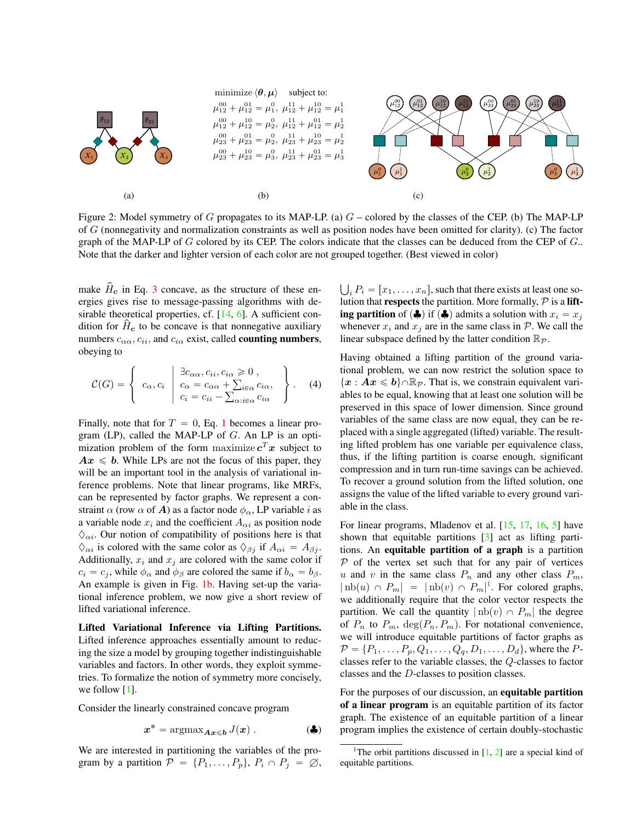<span id="page-2-1"></span>

Figure 2: Model symmetry of G propagates to its MAP-LP. (a)  $G$  – colored by the classes of the CEP. (b) The MAP-LP of G (nonnegativity and normalization constraints as well as position nodes have been omitted for clarity). (c) The factor graph of the MAP-LP of  $G$  colored by its CEP. The colors indicate that the classes can be deduced from the CEP of  $G$ .. Note that the darker and lighter version of each color are not grouped together. (Best viewed in color)

make  $H_c$  in Eq. [3](#page-1-2) concave, as the structure of these energies gives rise to message-passing algorithms with de-sirable theoretical properties, cf. [\[14,](#page-9-2) [6\]](#page-9-18). A sufficient condition for  $H_c$  to be concave is that nonnegative auxiliary numbers  $c_{\alpha\alpha}$ ,  $c_{ii}$ , and  $c_{i\alpha}$  exist, called **counting numbers**, obeying to

<span id="page-2-2"></span>
$$
\mathcal{C}(G) = \left\{ c_{\alpha}, c_i \mid c_{\alpha} = c_{\alpha\alpha} + \sum_{i \in \alpha} c_{i\alpha}, \atop c_i = c_{ii} - \sum_{\alpha : i \in \alpha} c_{i\alpha} \right\}.
$$
 (4)

Finally, note that for  $T = 0$ , Eq. [1](#page-1-1) becomes a linear program (LP), called the MAP-LP of G. An LP is an optimization problem of the form maximize  $c^T x$  subject to  $Ax \leq b$ . While LPs are not the focus of this paper, they will be an important tool in the analysis of variational inference problems. Note that linear programs, like MRFs, can be represented by factor graphs. We represent a constraint  $\alpha$  (row  $\alpha$  of **A**) as a factor node  $\phi_{\alpha}$ , LP variable i as a variable node  $x_i$  and the coefficient  $A_{\alpha i}$  as position node  $\Diamond_{\alpha i}$ . Our notion of compatibility of positions here is that  $\Diamond_{\alpha i}$  is colored with the same color as  $\Diamond_{\beta j}$  if  $A_{\alpha i} = A_{\beta j}$ . Additionally,  $x_i$  and  $x_j$  are colored with the same color if  $c_i = c_j$ , while  $\phi_\alpha$  and  $\phi_\beta$  are colored the same if  $b_\alpha = b_\beta$ . An example is given in Fig. [1b.](#page-1-0) Having set-up the variational inference problem, we now give a short review of lifted variational inference.

Lifted Variational Inference via Lifting Partitions. Lifted inference approaches essentially amount to reducing the size a model by grouping together indistinguishable variables and factors. In other words, they exploit symmetries. To formalize the notion of symmetry more concisely, we follow [\[1\]](#page-9-4).

Consider the linearly constrained concave program

$$
x^* = \operatorname{argmax}_{Ax \le b} J(x) . \tag{\clubsuit}
$$

We are interested in partitioning the variables of the program by a partition  $P = \{P_1, \ldots, P_p\}, P_i \cap P_j = \emptyset$ ,  $\bigcup_i P_i = [x_1, \ldots, x_n]$ , such that there exists at least one solution that respects the partition. More formally,  $P$  is a lifting partition of  $(\clubsuit)$  if  $(\clubsuit)$  admits a solution with  $x_i = x_j$ whenever  $x_i$  and  $x_j$  are in the same class in  $P$ . We call the linear subspace defined by the latter condition  $\mathbb{R}_{\mathcal{P}}$ .

Having obtained a lifting partition of the ground variational problem, we can now restrict the solution space to  $\{x : Ax \leq b\} \cap \mathbb{R}_{\mathcal{P}}$ . That is, we constrain equivalent variables to be equal, knowing that at least one solution will be preserved in this space of lower dimension. Since ground variables of the same class are now equal, they can be replaced with a single aggregated (lifted) variable. The resulting lifted problem has one variable per equivalence class, thus, if the lifting partition is coarse enough, significant compression and in turn run-time savings can be achieved. To recover a ground solution from the lifted solution, one assigns the value of the lifted variable to every ground variable in the class.

For linear programs, Mladenov et al. [\[15,](#page-9-19) [17,](#page-9-14) [16,](#page-9-15) [5\]](#page-9-20) have shown that equitable partitions [\[3\]](#page-9-21) act as lifting partitions. An equitable partition of a graph is a partition  $P$  of the vertex set such that for any pair of vertices u and v in the same class  $P_n$  and any other class  $P_m$ ,  $|\text{nb}(u) \cap P_m| = |\text{nb}(v) \cap P_m|^1$  $|\text{nb}(u) \cap P_m| = |\text{nb}(v) \cap P_m|^1$ . For colored graphs, we additionally require that the color vector respects the partition. We call the quantity  $| \text{ nb}(v) \cap P_m |$  the degree of  $P_n$  to  $P_m$ ,  $\deg(P_n, P_m)$ . For notational convenience, we will introduce equitable partitions of factor graphs as  $P = \{P_1, \ldots, P_p, Q_1, \ldots, Q_q, D_1, \ldots, D_d\}$ , where the Pclasses refer to the variable classes, the Q-classes to factor classes and the D-classes to position classes.

For the purposes of our discussion, an equitable partition of a linear program is an equitable partition of its factor graph. The existence of an equitable partition of a linear program implies the existence of certain doubly-stochastic

<span id="page-2-0"></span><sup>&</sup>lt;sup>1</sup>The orbit partitions discussed in  $[1, 2]$  $[1, 2]$  $[1, 2]$  are a special kind of equitable partitions.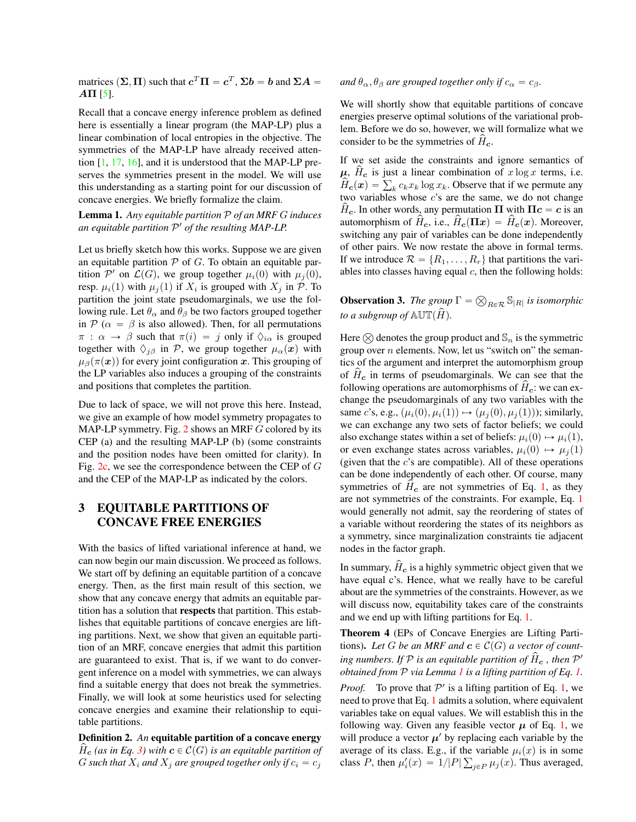matrices  $(\Sigma, \Pi)$  such that  $c^T \Pi = c^T$ ,  $\Sigma b = b$  and  $\Sigma A =$  $A\Pi$  [\[5\]](#page-9-20).

Recall that a concave energy inference problem as defined here is essentially a linear program (the MAP-LP) plus a linear combination of local entropies in the objective. The symmetries of the MAP-LP have already received attention [\[1,](#page-9-4) [17,](#page-9-14) [16\]](#page-9-15), and it is understood that the MAP-LP preserves the symmetries present in the model. We will use this understanding as a starting point for our discussion of concave energies. We briefly formalize the claim.

<span id="page-3-1"></span>Lemma 1. *Any equitable partition* P *of an MRF* G *induces an equitable partition* P <sup>1</sup> *of the resulting MAP-LP.*

Let us briefly sketch how this works. Suppose we are given an equitable partition  $P$  of  $G$ . To obtain an equitable partition P' on  $\mathcal{L}(G)$ , we group together  $\mu_i(0)$  with  $\mu_j(0)$ , resp.  $\mu_i(1)$  with  $\mu_j(1)$  if  $X_i$  is grouped with  $X_j$  in  $P$ . To partition the joint state pseudomarginals, we use the following rule. Let  $\theta_{\alpha}$  and  $\theta_{\beta}$  be two factors grouped together in  $P(\alpha = \beta$  is also allowed). Then, for all permutations  $\pi$  :  $\alpha \rightarrow \beta$  such that  $\pi(i) = j$  only if  $\Diamond_{i\alpha}$  is grouped together with  $\Diamond_{i\beta}$  in P, we group together  $\mu_{\alpha}(x)$  with  $\mu_{\beta}(\pi(\bm{x}))$  for every joint configuration x. This grouping of the LP variables also induces a grouping of the constraints and positions that completes the partition.

Due to lack of space, we will not prove this here. Instead, we give an example of how model symmetry propagates to MAP-LP symmetry. Fig. [2](#page-2-1) shows an MRF  $G$  colored by its CEP (a) and the resulting MAP-LP (b) (some constraints and the position nodes have been omitted for clarity). In Fig.  $2c$ , we see the correspondence between the CEP of  $G$ and the CEP of the MAP-LP as indicated by the colors.

# <span id="page-3-0"></span>3 EQUITABLE PARTITIONS OF CONCAVE FREE ENERGIES

With the basics of lifted variational inference at hand, we can now begin our main discussion. We proceed as follows. We start off by defining an equitable partition of a concave energy. Then, as the first main result of this section, we show that any concave energy that admits an equitable partition has a solution that respects that partition. This establishes that equitable partitions of concave energies are lifting partitions. Next, we show that given an equitable partition of an MRF, concave energies that admit this partition are guaranteed to exist. That is, if we want to do convergent inference on a model with symmetries, we can always find a suitable energy that does not break the symmetries. Finally, we will look at some heuristics used for selecting concave energies and examine their relationship to equitable partitions.

Definition 2. *An* equitable partition of a concave energy  $H_c$  (as in Eq. [3\)](#page-1-2) with  $c \in C(G)$  is an equitable partition of G such that  $X_i$  and  $X_j$  are grouped together only if  $c_i = c_j$ 

#### *and*  $\theta_{\alpha}$ ,  $\theta_{\beta}$  *are grouped together only if*  $c_{\alpha} = c_{\beta}$ *.*

We will shortly show that equitable partitions of concave energies preserve optimal solutions of the variational problem. Before we do so, however, we will formalize what we consider to be the symmetries of  $H_c$ .

If we set aside the constraints and ignore semantics of  $\mu$ ,  $H_c$  is just a linear combination of  $x \log x$  terms, i.e.  $\mu$ ,  $H_c$  is just a linear combination of  $x \log x$  terms, i.e.<br>  $\hat{H}_c(x) = \sum_k c_k x_k \log x_k$ . Observe that if we permute any two variables whose  $c$ 's are the same, we do not change  $H_c$ . In other words, any permutation  $\Pi$  with  $\Pi c = c$  is an automorphism of  $\hat{H}_c$ , i.e.,  $\hat{H}_c(\Pi x) = \hat{H}_c(x)$ . Moreover, switching any pair of variables can be done independently of other pairs. We now restate the above in formal terms. If we introduce  $\mathcal{R} = \{R_1, \ldots, R_r\}$  that partitions the variables into classes having equal  $c$ , then the following holds:

**Observation 3.** *The group*  $\Gamma$  =  $\bigotimes_{R\in\mathcal{R}}\mathbb{S}_{|R|}$  is isomorphic *to a subgroup of*  $\mathbb{A}\mathbb{UT}(\widehat{H})$ *.* 

Here  $\otimes$  denotes the group product and  $\mathbb{S}_n$  is the symmetric group over  $n$  elements. Now, let us "switch on" the semantics of the argument and interpret the automorphism group of  $H_c$  in terms of pseudomarginals. We can see that the following operations are automorphisms of  $H_c$ : we can exchange the pseudomarginals of any two variables with the same c's, e.g.,  $(\mu_i(0), \mu_i(1)) \mapsto (\mu_i(0), \mu_i(1))$ ; similarly, we can exchange any two sets of factor beliefs; we could also exchange states within a set of beliefs:  $\mu_i(0) \mapsto \mu_i(1)$ , or even exchange states across variables,  $\mu_i(0) \mapsto \mu_i(1)$ (given that the  $c$ 's are compatible). All of these operations can be done independently of each other. Of course, many symmetries of  $H_c$  are not symmetries of Eq. [1,](#page-1-1) as they are not symmetries of the constraints. For example, Eq. [1](#page-1-1) would generally not admit, say the reordering of states of a variable without reordering the states of its neighbors as a symmetry, since marginalization constraints tie adjacent nodes in the factor graph.

In summary,  $\hat{H}_{c}$  is a highly symmetric object given that we have equal c's. Hence, what we really have to be careful about are the symmetries of the constraints. However, as we will discuss now, equitability takes care of the constraints and we end up with lifting partitions for Eq. [1.](#page-1-1)

<span id="page-3-2"></span>Theorem 4 (EPs of Concave Energies are Lifting Partitions). Let G be an MRF and  $c \in C(G)$  a vector of counting numbers. If  $P$  is an equitable partition of  $\hat{H}_{\mathbf{c}}$  , then  $P'$ *obtained from* P *via Lemma [1](#page-3-1) is a lifting partition of Eq. [1.](#page-1-1)*

*Proof.* To prove that  $P'$  is a lifting partition of Eq. [1,](#page-1-1) we need to prove that Eq. [1](#page-1-1) admits a solution, where equivalent variables take on equal values. We will establish this in the following way. Given any feasible vector  $\mu$  of Eq. [1,](#page-1-1) we will produce a vector  $\mu'$  by replacing each variable by the average of its class. E.g., if the variable  $\mu_i(x)$  is in some class P, then  $\mu'_i(x) = 1/|P| \sum_{j \in P} \mu_j(x)$ . Thus averaged,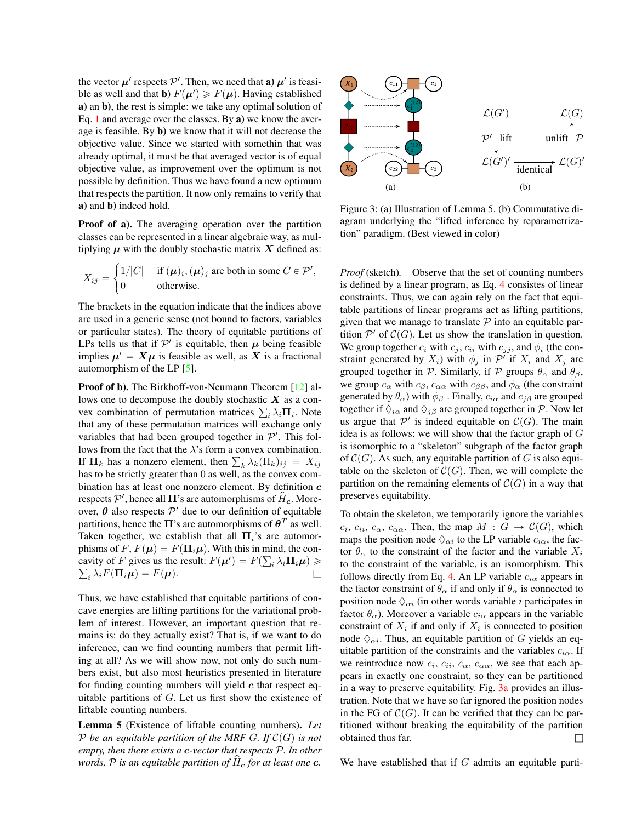the vector  $\mu'$  respects  $\mathcal{P}'$ . Then, we need that **a**)  $\mu'$  is feasible as well and that **b**)  $F(\mu') \geq F(\mu)$ . Having established a) an b), the rest is simple: we take any optimal solution of Eq. [1](#page-1-1) and average over the classes. By a) we know the average is feasible. By b) we know that it will not decrease the objective value. Since we started with somethin that was already optimal, it must be that averaged vector is of equal objective value, as improvement over the optimum is not possible by definition. Thus we have found a new optimum that respects the partition. It now only remains to verify that a) and b) indeed hold.

Proof of a). The averaging operation over the partition classes can be represented in a linear algebraic way, as multiplying  $\mu$  with the doubly stochastic matrix  $X$  defined as: #

$$
X_{ij} = \begin{cases} 1/|C| & \text{if } (\mu)_i, (\mu)_j \text{ are both in some } C \in \mathcal{P}', \\ 0 & \text{otherwise.} \end{cases}
$$

The brackets in the equation indicate that the indices above are used in a generic sense (not bound to factors, variables or particular states). The theory of equitable partitions of LPs tells us that if  $\mathcal{P}'$  is equitable, then  $\mu$  being feasible implies  $\mu' = X\mu$  is feasible as well, as X is a fractional automorphism of the LP [\[5\]](#page-9-20).

Proof of b). The Birkhoff-von-Neumann Theorem [\[12\]](#page-9-22) allows one to decompose the doubly stochastic  $X$  as a conlows one to decompose the doubly stochastic **X** as a convex combination of permutation matrices  $\sum_i \lambda_i \Pi_i$ . Note that any of these permutation matrices will exchange only variables that had been grouped together in  $\mathcal{P}'$ . This follows from the fact that the  $\lambda$ 's form a convex combination. lows from the fact that the  $\lambda$ 's form a convex combination.<br>If  $\Pi_k$  has a nonzero element, then  $\sum_k \lambda_k (\Pi_k)_{ij} = X_{ij}$ has to be strictly greater than 0 as well, as the convex combination has at least one nonzero element. By definition  $c$ respects  $P'$ , hence all  $\Pi$ 's are automorphisms of  $\hat{H}_c$ . Moreover,  $\theta$  also respects  $\mathcal{P}'$  due to our definition of equitable partitions, hence the  $\Pi$ 's are automorphisms of  $\boldsymbol{\theta}^T$  as well. Taken together, we establish that all  $\Pi_i$ 's are automorphisms of  $F, F(\mu) = F(\Pi_i \mu)$ . With this in mind, the concavity of F gives us the result:  $F(\mu') = F(\sum_i \lambda_i \Pi_i \mu) \geq$  $i \lambda_i F(\mathbf{\Pi}_i \boldsymbol{\mu}) = F(\boldsymbol{\mu}).$ 

Thus, we have established that equitable partitions of concave energies are lifting partitions for the variational problem of interest. However, an important question that remains is: do they actually exist? That is, if we want to do inference, can we find counting numbers that permit lifting at all? As we will show now, not only do such numbers exist, but also most heuristics presented in literature for finding counting numbers will yield  $c$  that respect equitable partitions of  $G$ . Let us first show the existence of liftable counting numbers.

<span id="page-4-1"></span>Lemma 5 (Existence of liftable counting numbers). *Let*  $P$  *be an equitable partition of the MRF G. If*  $C(G)$  *is not empty, then there exists a* c*-vector that respects* P*. In other words,*  $P$  *is an equitable partition of*  $H_c$  *for at least one*  $c$ *.* 

<span id="page-4-0"></span>

Figure 3: (a) Illustration of Lemma 5. (b) Commutative diagram underlying the "lifted inference by reparametrization" paradigm. (Best viewed in color)

*Proof* (sketch)*.* Observe that the set of counting numbers is defined by a linear program, as Eq. [4](#page-2-2) consistes of linear constraints. Thus, we can again rely on the fact that equitable partitions of linear programs act as lifting partitions, given that we manage to translate  $P$  into an equitable partition  $\mathcal{P}'$  of  $\mathcal{C}(G)$ . Let us show the translation in question. We group together  $c_i$  with  $c_j$ ,  $c_{ii}$  with  $c_{jj}$ , and  $\phi_i$  (the constraint generated by  $X_i$ ) with  $\phi_j$  in  $\mathcal{P}'$  if  $X_i$  and  $X_j$  are grouped together in P. Similarly, if P groups  $\theta_{\alpha}$  and  $\theta_{\beta}$ , we group  $c_{\alpha}$  with  $c_{\beta}$ ,  $c_{\alpha\alpha}$  with  $c_{\beta\beta}$ , and  $\phi_{\alpha}$  (the constraint generated by  $\theta_{\alpha}$ ) with  $\phi_{\beta}$ . Finally,  $c_{i\alpha}$  and  $c_{j\beta}$  are grouped together if  $\Diamond_{i\alpha}$  and  $\Diamond_{j\beta}$  are grouped together in P. Now let us argue that  $\mathcal{P}'$  is indeed equitable on  $\mathcal{C}(G)$ . The main idea is as follows: we will show that the factor graph of  $G$ is isomorphic to a "skeleton" subgraph of the factor graph of  $\mathcal{C}(G)$ . As such, any equitable partition of G is also equitable on the skeleton of  $\mathcal{C}(G)$ . Then, we will complete the partition on the remaining elements of  $\mathcal{C}(G)$  in a way that preserves equitability.

To obtain the skeleton, we temporarily ignore the variables  $c_i, c_{ii}, c_{\alpha}, c_{\alpha\alpha}$ . Then, the map  $M : G \to C(G)$ , which maps the position node  $\Diamond_{\alpha i}$  to the LP variable  $c_{i\alpha}$ , the factor  $\theta_{\alpha}$  to the constraint of the factor and the variable  $X_i$ to the constraint of the variable, is an isomorphism. This follows directly from Eq. [4.](#page-2-2) An LP variable  $c_{i\alpha}$  appears in the factor constraint of  $\theta_{\alpha}$  if and only if  $\theta_{\alpha}$  is connected to position node  $\Diamond_{\alpha i}$  (in other words variable *i* participates in factor  $\theta_{\alpha}$ ). Moreover a variable  $c_{i\alpha}$  appears in the variable constraint of  $X_i$  if and only if  $X_i$  is connected to position node  $\Diamond_{\alpha i}$ . Thus, an equitable partition of G yields an equitable partition of the constraints and the variables  $c_{i\alpha}$ . If we reintroduce now  $c_i$ ,  $c_{ii}$ ,  $c_{\alpha}$ ,  $c_{\alpha\alpha}$ , we see that each appears in exactly one constraint, so they can be partitioned in a way to preserve equitability. Fig. [3a](#page-4-0) provides an illustration. Note that we have so far ignored the position nodes in the FG of  $\mathcal{C}(G)$ . It can be verified that they can be partitioned without breaking the equitability of the partition obtained thus far.  $\Box$ 

We have established that if  $G$  admits an equitable parti-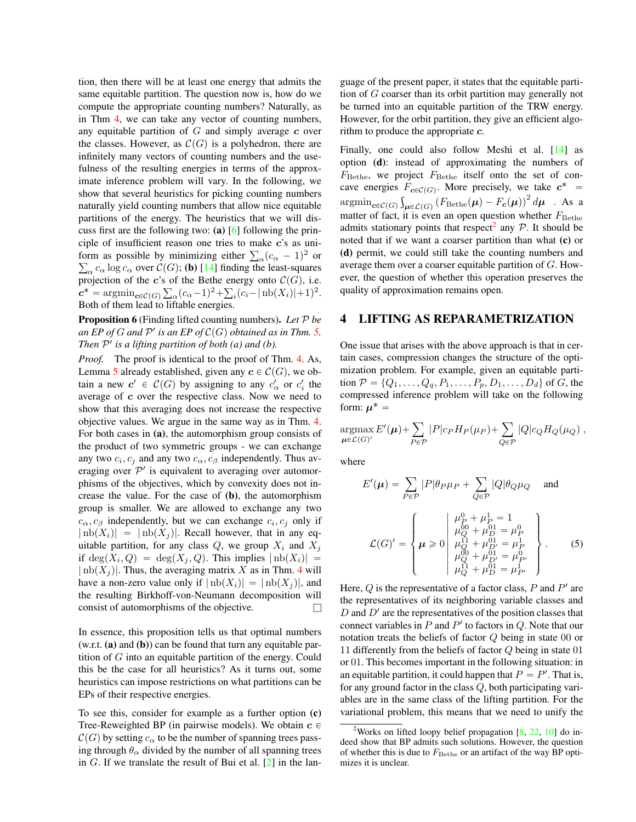tion, then there will be at least one energy that admits the same equitable partition. The question now is, how do we compute the appropriate counting numbers? Naturally, as in Thm [4,](#page-3-2) we can take any vector of counting numbers, any equitable partition of  $G$  and simply average  $c$  over the classes. However, as  $C(G)$  is a polyhedron, there are infinitely many vectors of counting numbers and the usefulness of the resulting energies in terms of the approximate inference problem will vary. In the following, we show that several heuristics for picking counting numbers naturally yield counting numbers that allow nice equitable partitions of the energy. The heuristics that we will discuss first are the following two: (a) [\[6\]](#page-9-18) following the principle of insufficient reason one tries to make  $c$ 's as uniciple of insufficient reason one tries to make c's as uniform as possible by minimizing either  $\sum_{\alpha} (c_{\alpha} - 1)^2$  or  $_{\alpha}$   $c_{\alpha}$  log  $c_{\alpha}$  over  $\mathcal{C}(G)$ ; (b) [\[14\]](#page-9-2) finding the least-squares projection of the c's of the Bethe energy onto  $\mathcal{C}(G)$ , i.e.  $c^* = \operatorname{argmin}_{c \in \mathcal{C}(G)} \sum_{\alpha} (c_{\alpha} - 1)^2 + \sum_i (c_i - |\operatorname{nb}(X_i)| + 1)^2.$ Both of them lead to liftable energies.

#### Proposition 6 (Finding lifted counting numbers). *Let* P *be* an EP of  $G$  and  $\mathcal{P}'$  is an EP of  $\mathcal{C}(G)$  obtained as in Thm. [5.](#page-4-1) *Then* P 1 *is a lifting partition of both (a) and (b).*

*Proof.* The proof is identical to the proof of Thm. [4.](#page-3-2) As, Lemma [5](#page-4-1) already established, given any  $c \in \mathcal{C}(G)$ , we obtain a new  $c' \in C(G)$  by assigning to any  $c'_\alpha$  or  $c'_i$  the average of c over the respective class. Now we need to show that this averaging does not increase the respective objective values. We argue in the same way as in Thm. [4.](#page-3-2) For both cases in (a), the automorphism group consists of the product of two symmetric groups - we can exchange any two  $c_i$ ,  $c_j$  and any two  $c_\alpha$ ,  $c_\beta$  independently. Thus averaging over  $\mathcal{P}'$  is equivalent to averaging over automorphisms of the objectives, which by convexity does not increase the value. For the case of (b), the automorphism group is smaller. We are allowed to exchange any two  $c_{\alpha}, c_{\beta}$  independently, but we can exchange  $c_i, c_j$  only if  $|\text{nb}(X_i)| = |\text{nb}(X_i)|$ . Recall however, that in any equitable partition, for any class  $Q$ , we group  $X_i$  and  $X_j$ if  $\deg(X_i, Q) = \deg(X_j, Q)$ . This implies  $|\operatorname{nb}(X_i)| =$  $|\text{nb}(X_j)|$ . Thus, the averaging matrix X as in Thm. [4](#page-3-2) will have a non-zero value only if  $|nb(X_i)| = | nb(X_i)|$ , and the resulting Birkhoff-von-Neumann decomposition will consist of automorphisms of the objective.  $\Box$ 

In essence, this proposition tells us that optimal numbers (w.r.t. (a) and (b)) can be found that turn any equitable partition of G into an equitable partition of the energy. Could this be the case for all heuristics? As it turns out, some heuristics can impose restrictions on what partitions can be EPs of their respective energies.

To see this, consider for example as a further option (c) Tree-Reweighted BP (in pairwise models). We obtain  $c \in$  $C(G)$  by setting  $c_{\alpha}$  to be the number of spanning trees passing through  $\theta_{\alpha}$  divided by the number of all spanning trees in  $G$ . If we translate the result of Bui et al.  $[2]$  in the language of the present paper, it states that the equitable partition of G coarser than its orbit partition may generally not be turned into an equitable partition of the TRW energy. However, for the orbit partition, they give an efficient algorithm to produce the appropriate  $c$ .

Finally, one could also follow Meshi et al. [\[14\]](#page-9-2) as option (d): instead of approximating the numbers of  $F_{\rm Bethe}$ , we project  $F_{\rm Bethe}$  itself onto the set of concave energies  $F_{c\in\mathcal{C}(G)}$ . More precisely, we take  $c^*$  =  $\mathop{\rm argmin}_{\boldsymbol{c}\in\mathcal{C}(G)}\int_{\boldsymbol{\mu}\in\mathcal{L}(G)}\left(F_{\mathrm{Bethe}}(\boldsymbol{\mu})-F_{\boldsymbol{c}}(\boldsymbol{\mu})\right)^2d\boldsymbol{\mu}$  . As a matter of fact, it is even an open question whether  $F_{\text{Bethe}}$ admits stationary points that respect<sup>[2](#page-5-1)</sup> any  $P$ . It should be noted that if we want a coarser partition than what (c) or (d) permit, we could still take the counting numbers and average them over a coarser equitable partition of G. However, the question of whether this operation preserves the quality of approximation remains open.

#### <span id="page-5-0"></span>4 LIFTING AS REPARAMETRIZATION

One issue that arises with the above approach is that in certain cases, compression changes the structure of the optimization problem. For example, given an equitable partition  $P = \{Q_1, \ldots, Q_q, P_1, \ldots, P_p, D_1, \ldots, D_d\}$  of G, the compressed inference problem will take on the following form:  $\mu^* =$ 

$$
\underset{\boldsymbol{\mu}\in\mathcal{L}(G)'}{\operatorname{argmax}} E'(\boldsymbol{\mu}) + \sum_{P\in\mathcal{P}} |P|c_P H_P(\mu_P) + \sum_{Q\in\mathcal{P}} |Q|c_Q H_Q(\mu_Q) ,
$$

where

$$
E'(\mu) = \sum_{P \in \mathcal{P}} |P|\theta_{P}\mu_{P} + \sum_{Q \in \mathcal{P}} |Q|\theta_{Q}\mu_{Q} \text{ and}
$$

$$
\mathcal{L}(G)' = \begin{cases} \mu_{P}^{0} + \mu_{P}^{1} = 1\\ \mu_{Q}^{00} + \mu_{D}^{01} = \mu_{P}^{0}\\ \mu_{Q}^{11} + \mu_{D}^{01} = \mu_{P}^{1}\\ \mu_{Q}^{00} + \mu_{D'}^{01} = \mu_{P'}^{0}\\ \mu_{Q}^{10} + \mu_{D'}^{01} = \mu_{P'}^{1}\\ \mu_{Q}^{11} + \mu_{D}^{01} = \mu_{P'}^{1} \end{cases} (5)
$$

Here,  $Q$  is the representative of a factor class,  $P$  and  $P'$  are the representatives of its neighboring variable classes and  $D$  and  $D'$  are the representatives of the position classes that connect variables in  $P$  and  $P'$  to factors in  $Q$ . Note that our notation treats the beliefs of factor Q being in state 00 or 11 differently from the beliefs of factor Q being in state 01 or 01. This becomes important in the following situation: in an equitable partition, it could happen that  $P = P'$ . That is, for any ground factor in the class Q, both participating variables are in the same class of the lifting partition. For the variational problem, this means that we need to unify the

<span id="page-5-1"></span><sup>&</sup>lt;sup>2</sup>Works on lifted loopy belief propagation  $[8, 22, 10]$  $[8, 22, 10]$  $[8, 22, 10]$  $[8, 22, 10]$  $[8, 22, 10]$  do indeed show that BP admits such solutions. However, the question of whether this is due to  $F_{\text{Bethe}}$  or an artifact of the way BP optimizes it is unclear.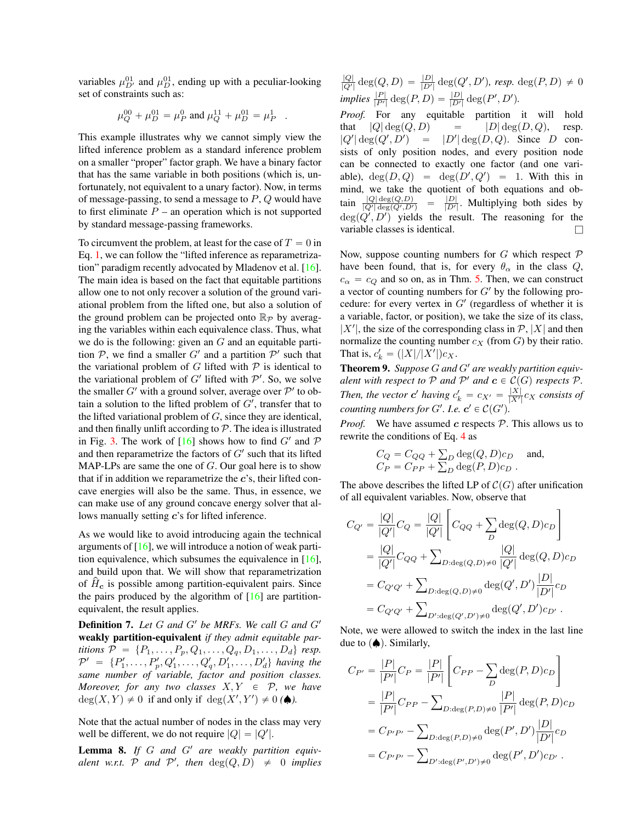variables  $\mu_{D'}^{01}$  and  $\mu_D^{01}$ , ending up with a peculiar-looking set of constraints such as:

$$
\mu_Q^{00} + \mu_D^{01} = \mu_P^0 \text{ and } \mu_Q^{11} + \mu_D^{01} = \mu_P^1 .
$$

This example illustrates why we cannot simply view the lifted inference problem as a standard inference problem on a smaller "proper" factor graph. We have a binary factor that has the same variable in both positions (which is, unfortunately, not equivalent to a unary factor). Now, in terms of message-passing, to send a message to  $P$ ,  $Q$  would have to first eliminate  $P$  – an operation which is not supported by standard message-passing frameworks.

To circumvent the problem, at least for the case of  $T = 0$  in Eq. [1,](#page-1-1) we can follow the "lifted inference as reparametrization" paradigm recently advocated by Mladenov et al. [\[16\]](#page-9-15). The main idea is based on the fact that equitable partitions allow one to not only recover a solution of the ground variational problem from the lifted one, but also a solution of the ground problem can be projected onto  $\mathbb{R}_{\mathcal{P}}$  by averaging the variables within each equivalence class. Thus, what we do is the following: given an  $G$  and an equitable partition  $P$ , we find a smaller G' and a partition  $P'$  such that the variational problem of G lifted with  $P$  is identical to the variational problem of  $G'$  lifted with  $\mathcal{P}'$ . So, we solve the smaller G' with a ground solver, average over  $\mathcal{P}'$  to obtain a solution to the lifted problem of  $G'$ , transfer that to the lifted variational problem of  $G$ , since they are identical, and then finally unlift according to  $P$ . The idea is illustrated in Fig. [3.](#page-4-0) The work of  $[16]$  shows how to find  $G'$  and  $P$ and then reparametrize the factors of  $G'$  such that its lifted MAP-LPs are same the one of  $G$ . Our goal here is to show that if in addition we reparametrize the  $c$ 's, their lifted concave energies will also be the same. Thus, in essence, we can make use of any ground concave energy solver that allows manually setting c's for lifted inference.

As we would like to avoid introducing again the technical arguments of  $[16]$ , we will introduce a notion of weak partition equivalence, which subsumes the equivalence in [\[16\]](#page-9-15), and build upon that. We will show that reparametrization of  $H_c$  is possible among partition-equivalent pairs. Since the pairs produced by the algorithm of  $[16]$  are partitionequivalent, the result applies.

**Definition 7.** Let G and G' be MRFs. We call G and G' weakly partition-equivalent *if they admit equitable partitions*  $P = \{P_1, \ldots, P_p, Q_1, \ldots, Q_q, D_1, \ldots, D_d\}$  *resp.*  $\mathcal{P}' \;\; = \;\; \{P_1', \ldots, P_p', Q_1', \ldots, Q_q', D_1', \ldots, D_d'\}$  having the *same number of variable, factor and position classes. Moreover, for any two classes*  $X, Y \in \mathcal{P}$ , we have  $deg(X, Y) \neq 0$  if and only if  $deg(X', Y') \neq 0$  ( $\spadesuit$ ).

Note that the actual number of nodes in the class may very well be different, we do not require  $|Q| = |Q'|$ .

Lemma 8. If G and G' are weakly partition equiv*alent w.r.t.*  $P$  *and*  $P'$ , *then*  $deg(Q, D) \neq 0$  *implies* 

|Q|  $\frac{|Q|}{|Q'|}\deg(Q, D) = \frac{|D|}{|D'|}\deg(Q', D'),$  resp.  $\deg(P, D) \neq 0$ *implies*  $\frac{|P|}{|P'|} \deg(P, D) = \frac{|D|}{|D'|} \deg(P', D').$ 

Proof. For any equitable partition it will hold that  $|Q| \deg(Q, D)$  =  $|D| \deg(D, Q)$ , resp.  $|Q'|\deg(Q', D')$  $) = |D'| \deg(D, Q)$ . Since D consists of only position nodes, and every position node can be connected to exactly one factor (and one variable),  $deg(D, Q) = deg(D', Q') = 1$ . With this in mind, we take the quotient of both equations and ob- $\tanh \frac{|Q| \deg(Q, D)}{|Q'| \deg(Q', D')}$  =  $|D|$  $\frac{|D|}{|D'|}$ . Multiplying both sides by  $deg(Q', D')$  yields the result. The reasoning for the variable classes is identical.  $\Box$ 

Now, suppose counting numbers for  $G$  which respect  $\mathcal P$ have been found, that is, for every  $\theta_{\alpha}$  in the class  $Q$ ,  $c_{\alpha} = c_Q$  and so on, as in Thm. [5.](#page-4-1) Then, we can construct a vector of counting numbers for  $G'$  by the following procedure: for every vertex in  $G'$  (regardless of whether it is a variable, factor, or position), we take the size of its class,  $|X'|$ , the size of the corresponding class in  $\mathcal{P}, |X|$  and then normalize the counting number  $c_X$  (from  $G$ ) by their ratio. That is,  $c'_{k} = (|X|/|X'|)c_X$ .

Theorem 9. Suppose G and G' are weakly partition equiv*alent with respect to*  $P$  *and*  $P'$  *and*  $c \in C(G)$  *respects*  $P$ *. Then, the vector* **c'** having  $c'_{k} = c_{X'} = \frac{|X|}{|X'|}$  $\frac{|X|}{|X'|}c_X$  *consists of counting numbers for G'. I.e.*  $c' \in C(G')$ .

*Proof.* We have assumed c respects  $P$ . This allows us to rewrite the conditions of Eq. [4](#page-2-2) as ř

$$
C_Q = C_{QQ} + \sum_D \deg(Q, D)c_D \text{ and,}
$$
  
\n
$$
C_P = C_{PP} + \sum_D \deg(P, D)c_D.
$$

The above describes the lifted LP of  $\mathcal{C}(G)$  after unification of all equivalent variables. Now, observe that for the control of the control of the control of the control of the control of the control of the control of the control of the control of the control of the control of the control of the control of the control of the cont

$$
C_{Q'} = \frac{|Q|}{|Q'|} C_Q = \frac{|Q|}{|Q'|} \left[ C_{QQ} + \sum_{D} \deg(Q, D) c_D \right]
$$
  
= 
$$
\frac{|Q|}{|Q'|} C_{QQ} + \sum_{D: \deg(Q, D) \neq 0} \frac{|Q|}{|Q'|} \deg(Q, D) c_D
$$
  
= 
$$
C_{Q'Q'} + \sum_{D: \deg(Q, D) \neq 0} \deg(Q', D') \frac{|D|}{|D'|} c_D
$$
  
= 
$$
C_{Q'Q'} + \sum_{D': \deg(Q', D') \neq 0} \deg(Q', D') c_{D'}.
$$

Note, we were allowed to switch the index in the last line due to  $(\spadesuit)$ . Similarly, « for the control of the control of the control of the control of the control of the control of the control of the control of the control of the control of the control of the control of the control of the control of the cont

$$
C_{P'} = \frac{|P|}{|P'|} C_P = \frac{|P|}{|P'|} \left[ C_{PP} - \sum_{D} \deg(P, D) c_D \right]
$$
  
= 
$$
\frac{|P|}{|P'|} C_{PP} - \sum_{D : \deg(P, D) \neq 0} \frac{|P|}{|P'|} \deg(P, D) c_D
$$
  
= 
$$
C_{P'P'} - \sum_{D : \deg(P, D) \neq 0} \deg(P', D') \frac{|D|}{|D'|} c_D
$$
  
= 
$$
C_{P'P'} - \sum_{D': \deg(P', D') \neq 0} \deg(P', D') c_{D'}.
$$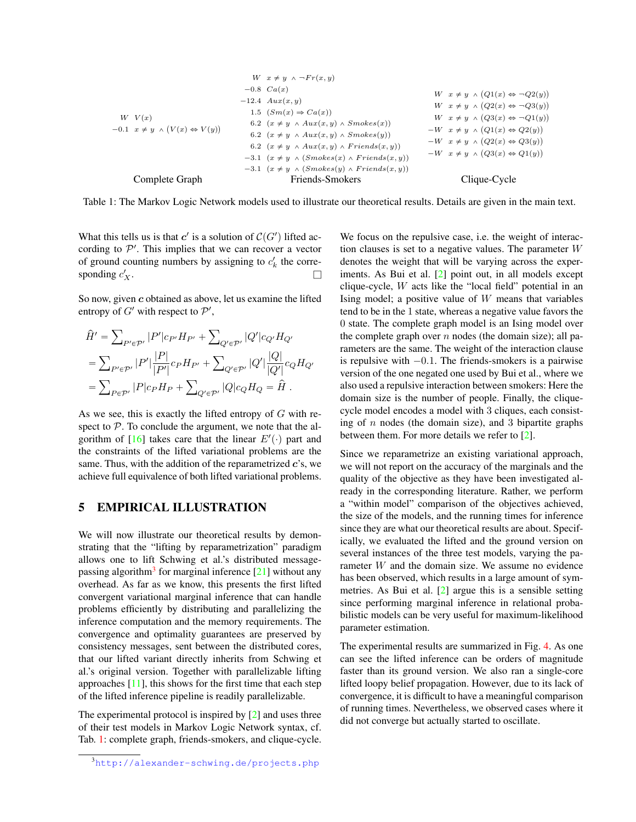<span id="page-7-1"></span>
$$
W x \neq y \land \neg Fr(x, y)
$$
\n
$$
-0.8 Ca(x)
$$
\n
$$
-12.4 Aux(x, y)
$$
\n
$$
W x \neq y \land (Q1(x) \Leftrightarrow \neg Q2(y))
$$
\n
$$
-12.4 Aux(x, y)
$$
\n
$$
W x \neq y \land (Q2(x) \Leftrightarrow \neg Q3(y))
$$
\n
$$
-0.1 x \neq y \land (V(x) \Leftrightarrow V(y))
$$
\n
$$
6.2 (x \neq y \land Aux(x, y) \land Smokes(x))
$$
\n
$$
6.2 (x \neq y \land Aux(x, y) \land Smokes(y))
$$
\n
$$
6.2 (x \neq y \land Aux(x, y) \land Smokes(y))
$$
\n
$$
-W x \neq y \land (Q2(x) \Leftrightarrow Q1(y))
$$
\n
$$
-W x \neq y \land (Q1(x) \Leftrightarrow Q2(y))
$$
\n
$$
-W x \neq y \land (Q1(x) \Leftrightarrow Q2(y))
$$
\n
$$
-W x \neq y \land (Q1(x) \Leftrightarrow Q2(y))
$$
\n
$$
-W x \neq y \land (Q1(x) \Leftrightarrow Q2(y))
$$
\n
$$
-W x \neq y \land (Q3(x) \Leftrightarrow Q1(y))
$$
\n
$$
-3.1 (x \neq y \land (Smokes(y) \land Frrends(x, y))
$$
\n
$$
-3.1 (x \neq y \land (Smokes(y) \land Frrends(x, y))
$$
\n
$$
-12.4 Aux(x, y)
$$
\n
$$
-W x \neq y \land (Q3(x) \Leftrightarrow Q1(y))
$$
\n
$$
-W x \neq y \land (Q3(x) \Leftrightarrow Q1(y))
$$
\n
$$
-3.1 (x \neq y \land (Smokes(y) \land Frinals(x, y))
$$
\n
$$
-3.1 (x \neq y \land (Smokes(y) \land Frinals(x, y))
$$
\n
$$
-12.1 (x \neq y \land (Smokes(y) \land Frinals(x, y))
$$
\n
$$
-W x \neq y \land (Q2(x) \Leftrightarrow Q1(y
$$

Table 1: The Markov Logic Network models used to illustrate our theoretical results. Details are given in the main text.

What this tells us is that  $c'$  is a solution of  $C(G')$  lifted according to  $\mathcal{P}'$ . This implies that we can recover a vector of ground counting numbers by assigning to  $c'_{k}$  the corresponding  $c'$  $X$ .

So now, given c obtained as above, let us examine the lifted entropy of  $G'$  with respect to  $\mathcal{P}'$ ,

$$
\begin{split} \hat{H}'&=\sum_{P'\in\mathcal{P}'}|P'|c_{P'}H_{P'}+\sum_{Q'\in\mathcal{P}'}|Q'|c_{Q'}H_{Q'}\\ &=\sum_{P'\in\mathcal{P}'}|P'|\frac{|P|}{|P'|}c_{P}H_{P'}+\sum_{Q'\in\mathcal{P}'}|Q'|\frac{|Q|}{|Q'|}c_{Q}H_{Q'}\\ &=\sum_{P\in\mathcal{P}'}|P|c_{P}H_{P}+\sum_{Q'\in\mathcal{P}'}|Q|c_{Q}H_{Q}=\hat{H}\ .\end{split}
$$

As we see, this is exactly the lifted entropy of  $G$  with respect to  $P$ . To conclude the argument, we note that the al-gorithm of [\[16\]](#page-9-15) takes care that the linear  $E'(\cdot)$  part and the constraints of the lifted variational problems are the same. Thus, with the addition of the reparametrized  $c$ 's, we achieve full equivalence of both lifted variational problems.

# 5 EMPIRICAL ILLUSTRATION

We will now illustrate our theoretical results by demonstrating that the "lifting by reparametrization" paradigm allows one to lift Schwing et al.'s distributed message-passing algorithm<sup>[3](#page-7-0)</sup> for marginal inference [\[21\]](#page-9-16) without any overhead. As far as we know, this presents the first lifted convergent variational marginal inference that can handle problems efficiently by distributing and parallelizing the inference computation and the memory requirements. The convergence and optimality guarantees are preserved by consistency messages, sent between the distributed cores, that our lifted variant directly inherits from Schwing et al.'s original version. Together with parallelizable lifting approaches [\[11\]](#page-9-23), this shows for the first time that each step of the lifted inference pipeline is readily parallelizable.

The experimental protocol is inspired by [\[2\]](#page-9-13) and uses three of their test models in Markov Logic Network syntax, cf. Tab. [1:](#page-7-1) complete graph, friends-smokers, and clique-cycle.

We focus on the repulsive case, i.e. the weight of interaction clauses is set to a negative values. The parameter W denotes the weight that will be varying across the experiments. As Bui et al. [\[2\]](#page-9-13) point out, in all models except clique-cycle, W acts like the "local field" potential in an Ising model; a positive value of  $W$  means that variables tend to be in the 1 state, whereas a negative value favors the 0 state. The complete graph model is an Ising model over the complete graph over  $n$  nodes (the domain size); all parameters are the same. The weight of the interaction clause is repulsive with  $-0.1$ . The friends-smokers is a pairwise version of the one negated one used by Bui et al., where we also used a repulsive interaction between smokers: Here the domain size is the number of people. Finally, the cliquecycle model encodes a model with 3 cliques, each consisting of  $n$  nodes (the domain size), and  $3$  bipartite graphs between them. For more details we refer to [\[2\]](#page-9-13).

Since we reparametrize an existing variational approach, we will not report on the accuracy of the marginals and the quality of the objective as they have been investigated already in the corresponding literature. Rather, we perform a "within model" comparison of the objectives achieved, the size of the models, and the running times for inference since they are what our theoretical results are about. Specifically, we evaluated the lifted and the ground version on several instances of the three test models, varying the parameter W and the domain size. We assume no evidence has been observed, which results in a large amount of symmetries. As Bui et al. [\[2\]](#page-9-13) argue this is a sensible setting since performing marginal inference in relational probabilistic models can be very useful for maximum-likelihood parameter estimation.

The experimental results are summarized in Fig. [4.](#page-8-0) As one can see the lifted inference can be orders of magnitude faster than its ground version. We also ran a single-core lifted loopy belief propagation. However, due to its lack of convergence, it is difficult to have a meaningful comparison of running times. Nevertheless, we observed cases where it did not converge but actually started to oscillate.

<span id="page-7-0"></span><sup>3</sup><http://alexander-schwing.de/projects.php>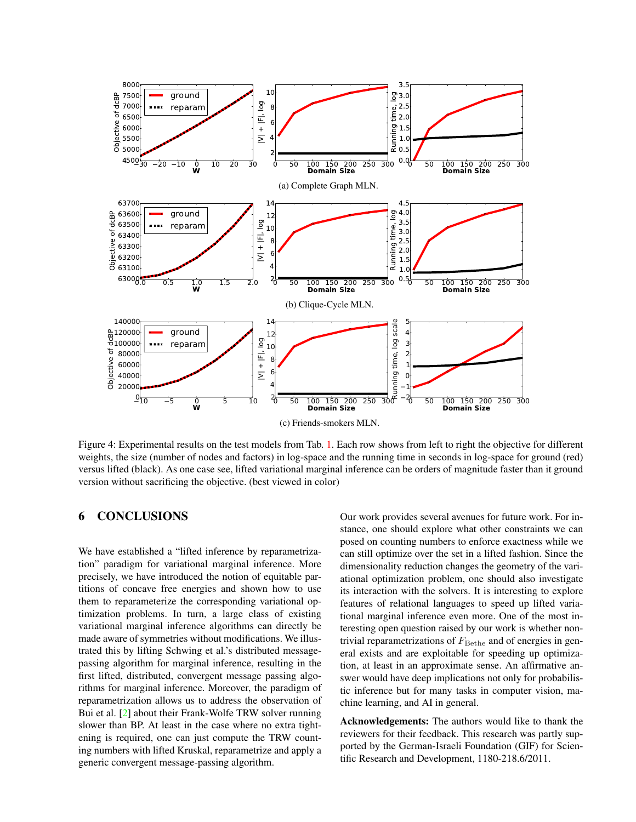<span id="page-8-0"></span>

Figure 4: Experimental results on the test models from Tab. [1.](#page-7-1) Each row shows from left to right the objective for different weights, the size (number of nodes and factors) in log-space and the running time in seconds in log-space for ground (red) versus lifted (black). As one case see, lifted variational marginal inference can be orders of magnitude faster than it ground version without sacrificing the objective. (best viewed in color)

# 6 CONCLUSIONS

We have established a "lifted inference by reparametrization" paradigm for variational marginal inference. More precisely, we have introduced the notion of equitable partitions of concave free energies and shown how to use them to reparameterize the corresponding variational optimization problems. In turn, a large class of existing variational marginal inference algorithms can directly be made aware of symmetries without modifications. We illustrated this by lifting Schwing et al.'s distributed messagepassing algorithm for marginal inference, resulting in the first lifted, distributed, convergent message passing algorithms for marginal inference. Moreover, the paradigm of reparametrization allows us to address the observation of Bui et al. [\[2\]](#page-9-13) about their Frank-Wolfe TRW solver running slower than BP. At least in the case where no extra tightening is required, one can just compute the TRW counting numbers with lifted Kruskal, reparametrize and apply a generic convergent message-passing algorithm.

Our work provides several avenues for future work. For instance, one should explore what other constraints we can posed on counting numbers to enforce exactness while we can still optimize over the set in a lifted fashion. Since the dimensionality reduction changes the geometry of the variational optimization problem, one should also investigate its interaction with the solvers. It is interesting to explore features of relational languages to speed up lifted variational marginal inference even more. One of the most interesting open question raised by our work is whether nontrivial reparametrizations of  $F_{\text{Bethe}}$  and of energies in general exists and are exploitable for speeding up optimization, at least in an approximate sense. An affirmative answer would have deep implications not only for probabilistic inference but for many tasks in computer vision, machine learning, and AI in general.

Acknowledgements: The authors would like to thank the reviewers for their feedback. This research was partly supported by the German-Israeli Foundation (GIF) for Scientific Research and Development, 1180-218.6/2011.